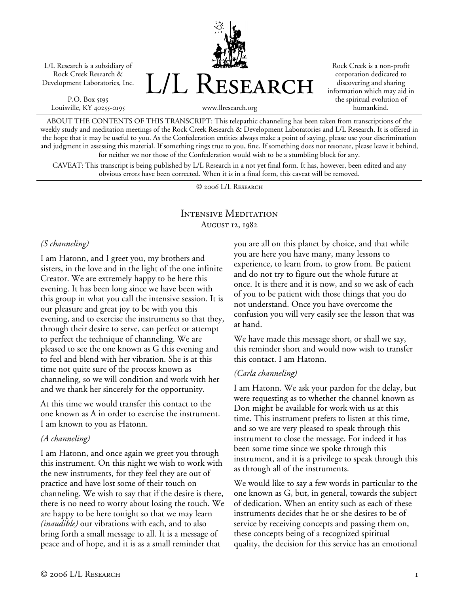L/L Research is a subsidiary of Rock Creek Research & Development Laboratories, Inc.

P.O. Box 5195 Louisville, KY 40255-0195 L/L Research

Rock Creek is a non-profit corporation dedicated to discovering and sharing information which may aid in the spiritual evolution of humankind.

www.llresearch.org

ABOUT THE CONTENTS OF THIS TRANSCRIPT: This telepathic channeling has been taken from transcriptions of the weekly study and meditation meetings of the Rock Creek Research & Development Laboratories and L/L Research. It is offered in the hope that it may be useful to you. As the Confederation entities always make a point of saying, please use your discrimination and judgment in assessing this material. If something rings true to you, fine. If something does not resonate, please leave it behind, for neither we nor those of the Confederation would wish to be a stumbling block for any.

CAVEAT: This transcript is being published by L/L Research in a not yet final form. It has, however, been edited and any obvious errors have been corrected. When it is in a final form, this caveat will be removed.

© 2006 L/L Research

# Intensive Meditation August 12, 1982

### *(S channeling)*

I am Hatonn, and I greet you, my brothers and sisters, in the love and in the light of the one infinite Creator. We are extremely happy to be here this evening. It has been long since we have been with this group in what you call the intensive session. It is our pleasure and great joy to be with you this evening, and to exercise the instruments so that they, through their desire to serve, can perfect or attempt to perfect the technique of channeling. We are pleased to see the one known as G this evening and to feel and blend with her vibration. She is at this time not quite sure of the process known as channeling, so we will condition and work with her and we thank her sincerely for the opportunity.

At this time we would transfer this contact to the one known as A in order to exercise the instrument. I am known to you as Hatonn.

#### *(A channeling)*

I am Hatonn, and once again we greet you through this instrument. On this night we wish to work with the new instruments, for they feel they are out of practice and have lost some of their touch on channeling. We wish to say that if the desire is there, there is no need to worry about losing the touch. We are happy to be here tonight so that we may learn *(inaudible)* our vibrations with each, and to also bring forth a small message to all. It is a message of peace and of hope, and it is as a small reminder that

you are all on this planet by choice, and that while you are here you have many, many lessons to experience, to learn from, to grow from. Be patient and do not try to figure out the whole future at once. It is there and it is now, and so we ask of each of you to be patient with those things that you do not understand. Once you have overcome the confusion you will very easily see the lesson that was at hand.

We have made this message short, or shall we say, this reminder short and would now wish to transfer this contact. I am Hatonn.

#### *(Carla channeling)*

I am Hatonn. We ask your pardon for the delay, but were requesting as to whether the channel known as Don might be available for work with us at this time. This instrument prefers to listen at this time, and so we are very pleased to speak through this instrument to close the message. For indeed it has been some time since we spoke through this instrument, and it is a privilege to speak through this as through all of the instruments.

We would like to say a few words in particular to the one known as G, but, in general, towards the subject of dedication. When an entity such as each of these instruments decides that he or she desires to be of service by receiving concepts and passing them on, these concepts being of a recognized spiritual quality, the decision for this service has an emotional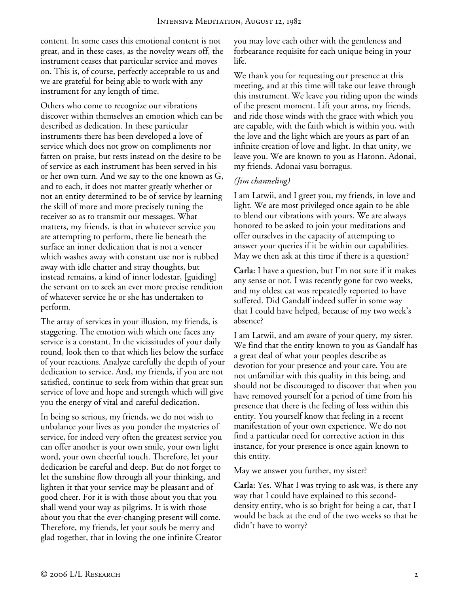content. In some cases this emotional content is not great, and in these cases, as the novelty wears off, the instrument ceases that particular service and moves on. This is, of course, perfectly acceptable to us and we are grateful for being able to work with any instrument for any length of time.

Others who come to recognize our vibrations discover within themselves an emotion which can be described as dedication. In these particular instruments there has been developed a love of service which does not grow on compliments nor fatten on praise, but rests instead on the desire to be of service as each instrument has been served in his or her own turn. And we say to the one known as G, and to each, it does not matter greatly whether or not an entity determined to be of service by learning the skill of more and more precisely tuning the receiver so as to transmit our messages. What matters, my friends, is that in whatever service you are attempting to perform, there lie beneath the surface an inner dedication that is not a veneer which washes away with constant use nor is rubbed away with idle chatter and stray thoughts, but instead remains, a kind of inner lodestar, [guiding] the servant on to seek an ever more precise rendition of whatever service he or she has undertaken to perform.

The array of services in your illusion, my friends, is staggering. The emotion with which one faces any service is a constant. In the vicissitudes of your daily round, look then to that which lies below the surface of your reactions. Analyze carefully the depth of your dedication to service. And, my friends, if you are not satisfied, continue to seek from within that great sun service of love and hope and strength which will give you the energy of vital and careful dedication.

In being so serious, my friends, we do not wish to unbalance your lives as you ponder the mysteries of service, for indeed very often the greatest service you can offer another is your own smile, your own light word, your own cheerful touch. Therefore, let your dedication be careful and deep. But do not forget to let the sunshine flow through all your thinking, and lighten it that your service may be pleasant and of good cheer. For it is with those about you that you shall wend your way as pilgrims. It is with those about you that the ever-changing present will come. Therefore, my friends, let your souls be merry and glad together, that in loving the one infinite Creator you may love each other with the gentleness and forbearance requisite for each unique being in your life.

We thank you for requesting our presence at this meeting, and at this time will take our leave through this instrument. We leave you riding upon the winds of the present moment. Lift your arms, my friends, and ride those winds with the grace with which you are capable, with the faith which is within you, with the love and the light which are yours as part of an infinite creation of love and light. In that unity, we leave you. We are known to you as Hatonn. Adonai, my friends. Adonai vasu borragus.

## *(Jim channeling)*

I am Latwii, and I greet you, my friends, in love and light. We are most privileged once again to be able to blend our vibrations with yours. We are always honored to be asked to join your meditations and offer ourselves in the capacity of attempting to answer your queries if it be within our capabilities. May we then ask at this time if there is a question?

**Carla:** I have a question, but I'm not sure if it makes any sense or not. I was recently gone for two weeks, and my oldest cat was repeatedly reported to have suffered. Did Gandalf indeed suffer in some way that I could have helped, because of my two week's absence?

I am Latwii, and am aware of your query, my sister. We find that the entity known to you as Gandalf has a great deal of what your peoples describe as devotion for your presence and your care. You are not unfamiliar with this quality in this being, and should not be discouraged to discover that when you have removed yourself for a period of time from his presence that there is the feeling of loss within this entity. You yourself know that feeling in a recent manifestation of your own experience. We do not find a particular need for corrective action in this instance, for your presence is once again known to this entity.

May we answer you further, my sister?

**Carla:** Yes. What I was trying to ask was, is there any way that I could have explained to this seconddensity entity, who is so bright for being a cat, that I would be back at the end of the two weeks so that he didn't have to worry?